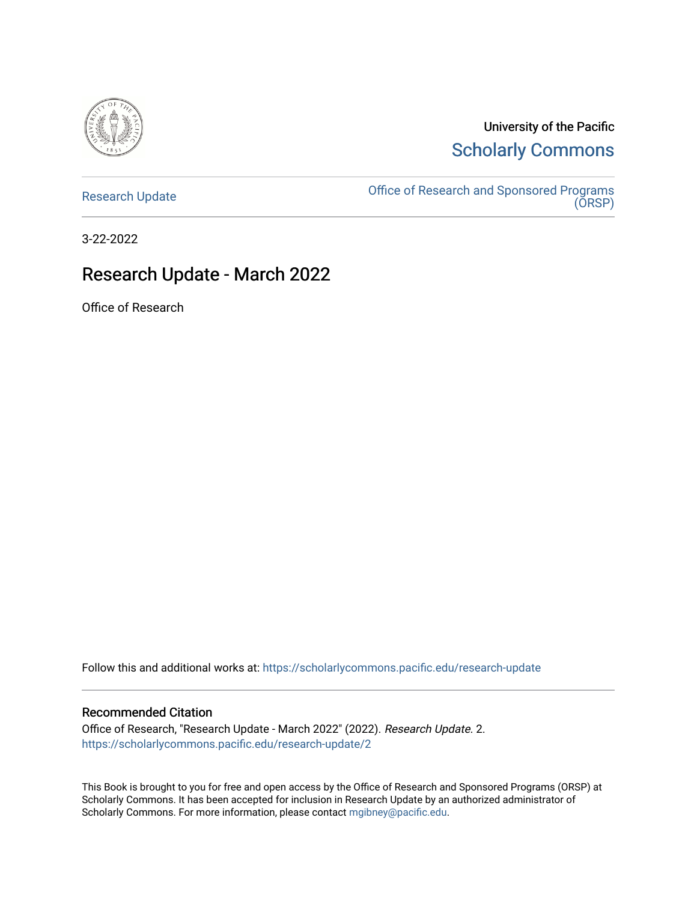

University of the Pacific [Scholarly Commons](https://scholarlycommons.pacific.edu/) 

[Research Update](https://scholarlycommons.pacific.edu/research-update) **Consort Consort Consort Consort Consort Consort Consort Consort Consort Consort Consort Conso** [\(ORSP\)](https://scholarlycommons.pacific.edu/rgs) 

3-22-2022

### Research Update - March 2022

Office of Research

Follow this and additional works at: [https://scholarlycommons.pacific.edu/research-update](https://scholarlycommons.pacific.edu/research-update?utm_source=scholarlycommons.pacific.edu%2Fresearch-update%2F2&utm_medium=PDF&utm_campaign=PDFCoverPages)

#### Recommended Citation

Office of Research, "Research Update - March 2022" (2022). Research Update. 2. [https://scholarlycommons.pacific.edu/research-update/2](https://scholarlycommons.pacific.edu/research-update/2?utm_source=scholarlycommons.pacific.edu%2Fresearch-update%2F2&utm_medium=PDF&utm_campaign=PDFCoverPages)

This Book is brought to you for free and open access by the Office of Research and Sponsored Programs (ORSP) at Scholarly Commons. It has been accepted for inclusion in Research Update by an authorized administrator of Scholarly Commons. For more information, please contact [mgibney@pacific.edu.](mailto:mgibney@pacific.edu)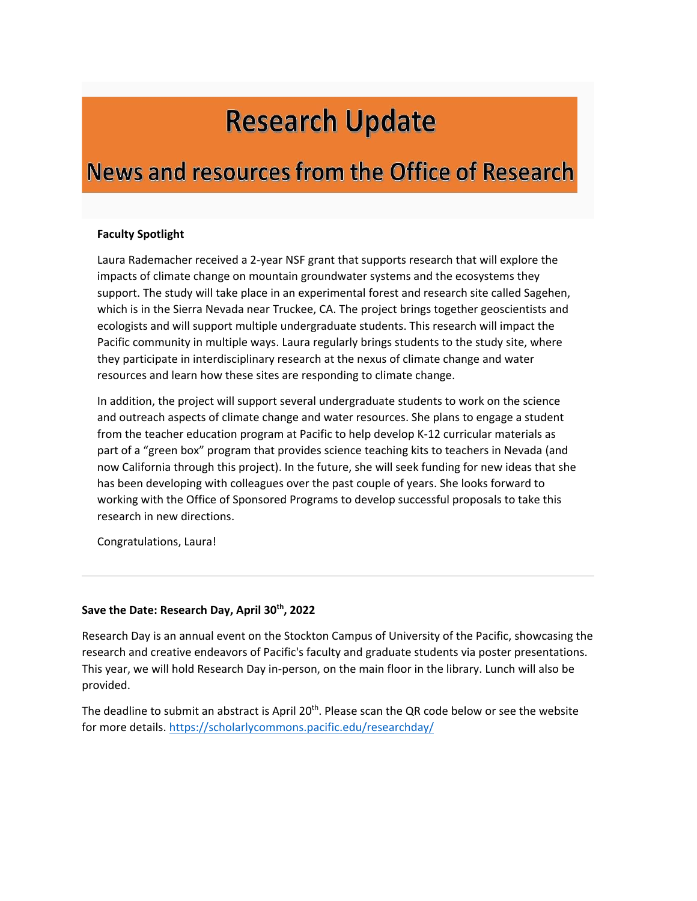# **Research Update**

## **News and resources from the Office of Research**

#### **Faculty Spotlight**

Laura Rademacher received a 2-year NSF grant that supports research that will explore the impacts of climate change on mountain groundwater systems and the ecosystems they support. The study will take place in an experimental forest and research site called Sagehen, which is in the Sierra Nevada near Truckee, CA. The project brings together geoscientists and ecologists and will support multiple undergraduate students. This research will impact the Pacific community in multiple ways. Laura regularly brings students to the study site, where they participate in interdisciplinary research at the nexus of climate change and water resources and learn how these sites are responding to climate change.

In addition, the project will support several undergraduate students to work on the science and outreach aspects of climate change and water resources. She plans to engage a student from the teacher education program at Pacific to help develop K-12 curricular materials as part of a "green box" program that provides science teaching kits to teachers in Nevada (and now California through this project). In the future, she will seek funding for new ideas that she has been developing with colleagues over the past couple of years. She looks forward to working with the Office of Sponsored Programs to develop successful proposals to take this research in new directions.

Congratulations, Laura!

#### **Save the Date: Research Day, April 30th, 2022**

Research Day is an annual event on the Stockton Campus of University of the Pacific, showcasing the research and creative endeavors of Pacific's faculty and graduate students via poster presentations. This year, we will hold Research Day in-person, on the main floor in the library. Lunch will also be provided.

The deadline to submit an abstract is April 20<sup>th</sup>. Please scan the QR code below or see the website for more details[. https://scholarlycommons.pacific.edu/researchday/](https://scholarlycommons.pacific.edu/researchday/)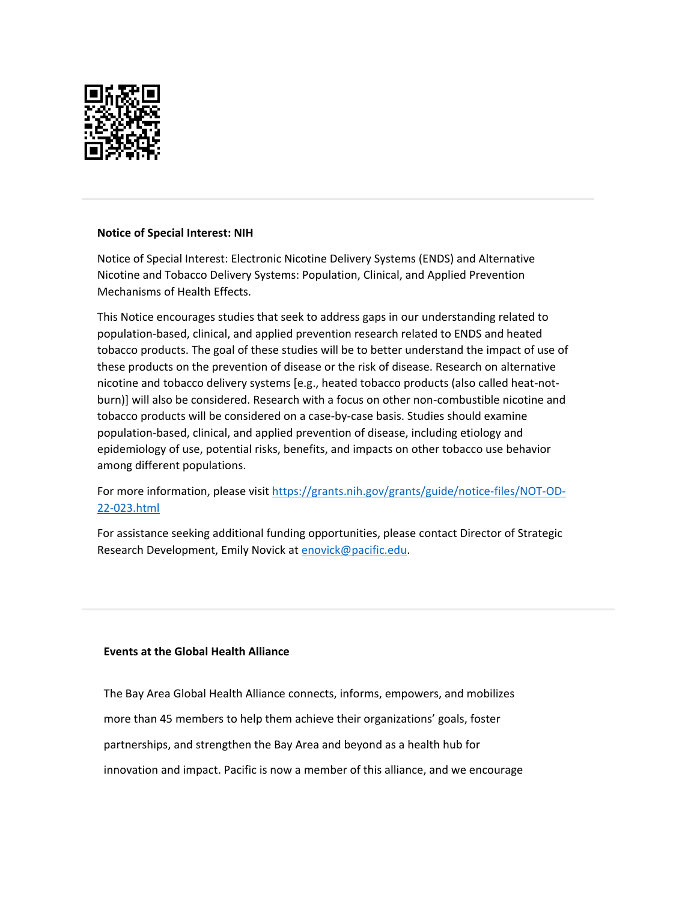

#### **Notice of Special Interest: NIH**

Notice of Special Interest: Electronic Nicotine Delivery Systems (ENDS) and Alternative Nicotine and Tobacco Delivery Systems: Population, Clinical, and Applied Prevention Mechanisms of Health Effects.

This Notice encourages studies that seek to address gaps in our understanding related to population-based, clinical, and applied prevention research related to ENDS and heated tobacco products. The goal of these studies will be to better understand the impact of use of these products on the prevention of disease or the risk of disease. Research on alternative nicotine and tobacco delivery systems [e.g., heated tobacco products (also called heat-notburn)] will also be considered. Research with a focus on other non-combustible nicotine and tobacco products will be considered on a case-by-case basis. Studies should examine population-based, clinical, and applied prevention of disease, including etiology and epidemiology of use, potential risks, benefits, and impacts on other tobacco use behavior among different populations.

For more information, please visit [https://grants.nih.gov/grants/guide/notice-files/NOT-OD-](https://grants.nih.gov/grants/guide/notice-files/NOT-OD-22-023.html)[22-023.html](https://grants.nih.gov/grants/guide/notice-files/NOT-OD-22-023.html)

For assistance seeking additional funding opportunities, please contact Director of Strategic Research Development, Emily Novick at [enovick@pacific.edu.](mailto:enovick@pacific.edu)

#### **Events at the Global Health Alliance**

The Bay Area Global Health Alliance connects, informs, empowers, and mobilizes more than 45 members to help them achieve their organizations' goals, foster partnerships, and strengthen the Bay Area and beyond as a health hub for innovation and impact. Pacific is now a member of this alliance, and we encourage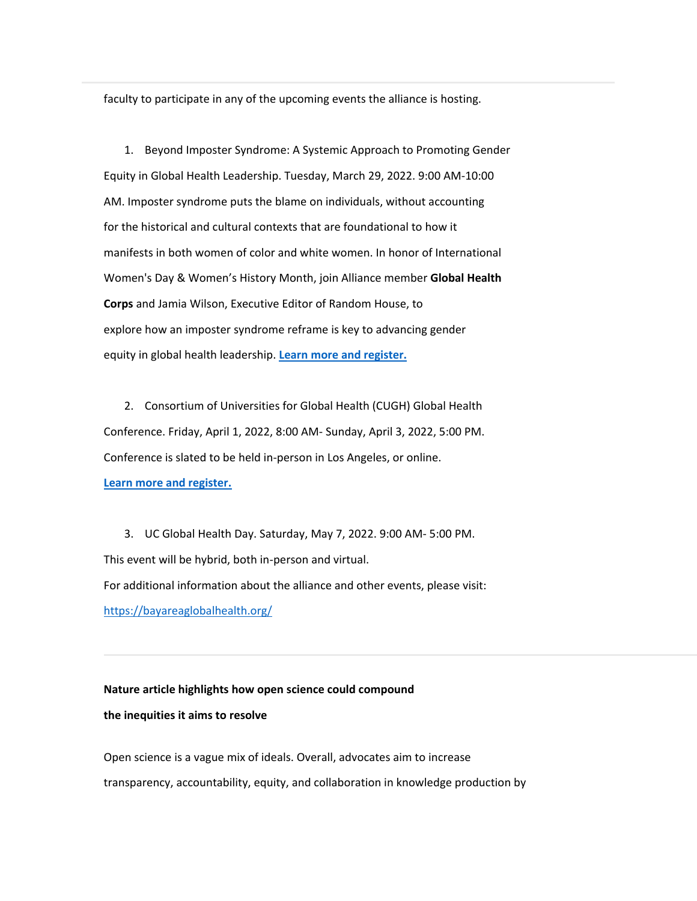faculty to participate in any of the upcoming events the alliance is hosting.

1. Beyond Imposter Syndrome: A Systemic Approach to Promoting Gender Equity in Global Health Leadership. Tuesday, March 29, 2022. 9:00 AM-10:00 AM. Imposter syndrome puts the blame on individuals, without accounting for the historical and cultural contexts that are foundational to how it manifests in both women of color and white women. In honor of International Women's Day & Women's History Month, join Alliance member **Global Health Corps** and Jamia Wilson, Executive Editor of Random House, to explore how an imposter syndrome reframe is key to advancing gender equity in global health leadership. **[Learn more and register.](https://ghcorps-org.zoom.us/meeting/register/tZEkf-Cpqz0uE9X4FssKkgOVmDUh3kzuB9Ij)**

2. Consortium of Universities for Global Health (CUGH) Global Health Conference. Friday, April 1, 2022, 8:00 AM- Sunday, April 3, 2022, 5:00 PM. Conference is slated to be held in-person in Los Angeles, or online. **[Learn more and register.](https://www.cugh2022.org/hybridstructure)**

3. UC Global Health Day. Saturday, May 7, 2022. 9:00 AM- 5:00 PM. This event will be hybrid, both in-person and virtual. For additional information about the alliance and other events, please visit: <https://bayareaglobalhealth.org/>

#### **Nature article highlights how open science could compound**

#### **the inequities it aims to resolve**

Open science is a vague mix of ideals. Overall, advocates aim to increase transparency, accountability, equity, and collaboration in knowledge production by